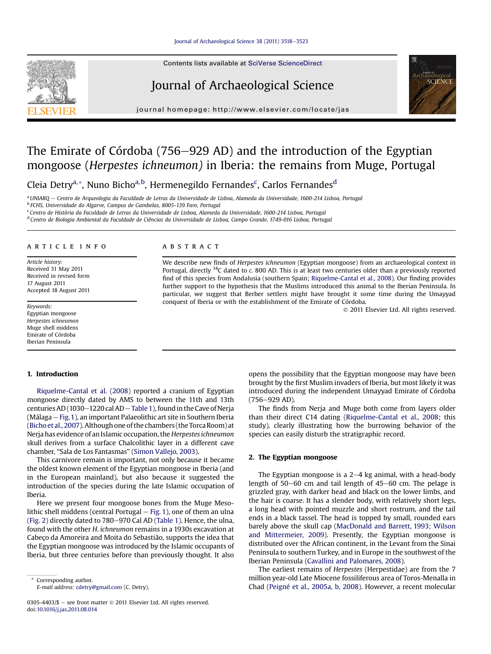

Contents lists available at SciVerse ScienceDirect

## Journal of Archaeological Science



journal homepage:<http://www.elsevier.com/locate/jas>

# The Emirate of Córdoba (756–929 AD) and the introduction of the Egyptian mongoose (Herpestes ichneumon) in Iberia: the remains from Muge, Portugal

Cleia Detry<sup>a,</sup>\*, Nuno Bicho<sup>a,b</sup>, Hermenegildo Fernandes<sup>c</sup>, Carlos Fernandes<sup>d</sup>

<sup>a</sup> UNIARQ - Centro de Arqueologia da Faculdade de Letras da Universidade de Lisboa, Alameda da Universidade, 1600-214 Lisboa, Portugal

<sup>b</sup> FCHS, Universidade do Algarve, Campus de Gambelas, 8005-139 Faro, Portugal

<sup>c</sup> Centro de História da Faculdade de Letras da Universidade de Lisboa, Alameda da Universidade, 1600-214 Lisboa, Portugal

<sup>d</sup> Centro de Biologia Ambiental da Faculdade de Ciências da Universidade de Lisboa, Campo Grande, 1749-016 Lisboa, Portugal

#### article info

Article history: Received 31 May 2011 Received in revised form 17 August 2011 Accepted 18 August 2011

Keywords: Egyptian mongoose Herpestes ichneumon Muge shell middens Emirate of Córdoba Iberian Peninsula

## 1. Introduction

[Riquelme-Cantal et al. \(2008\)](#page-5-0) reported a cranium of Egyptian mongoose directly dated by AMS to between the 11th and 13th centuries AD (1030-1220 cal AD - [Table 1](#page-1-0)), found in the Cave of Nerja (Málaga – Fig. 1), an important Palaeolithic art site in Southern Iberia ([Bicho et al., 2007\)](#page-5-0). Although one of the chambers (the Torca Room) at Nerja has evidence of an Islamic occupation, the Herpestes ichneumon skull derives from a surface Chalcolithic layer in a different cave chamber, "Sala de Los Fantasmas" ([Simon Vallejo, 2003\)](#page-5-0).

This carnivore remain is important, not only because it became the oldest known element of the Egyptian mongoose in Iberia (and in the European mainland), but also because it suggested the introduction of the species during the late Islamic occupation of Iberia.

Here we present four mongoose bones from the Muge Mesolithic shell middens (central Portugal  $-$  [Fig. 1](#page-1-0)), one of them an ulna ([Fig. 2\)](#page-2-0) directly dated to  $780-970$  Cal AD [\(Table 1\)](#page-1-0). Hence, the ulna, found with the other H. ichneumon remains in a 1930s excavation at Cabeço da Amoreira and Moita do Sebastião, supports the idea that the Egyptian mongoose was introduced by the Islamic occupants of Iberia, but three centuries before than previously thought. It also

Corresponding author. E-mail address: [cdetry@gmail.com](mailto:cdetry@gmail.com) (C. Detry).

0305-4403/\$ - see front matter  $\odot$  2011 Elsevier Ltd. All rights reserved. doi:[10.1016/j.jas.2011.08.014](http://dx.doi.org/10.1016/j.jas.2011.08.014)

## ABSTRACT

We describe new finds of Herpestes ichneumon (Egyptian mongoose) from an archaeological context in Portugal, directly <sup>14</sup>C dated to c. 800 AD. This is at least two centuries older than a previously reported find of this species from Andalusia (southern Spain; [Riquelme-Cantal et al., 2008](#page-5-0)). Our finding provides further support to the hypothesis that the Muslims introduced this animal to the Iberian Peninsula. In particular, we suggest that Berber settlers might have brought it some time during the Umayyad conquest of Iberia or with the establishment of the Emirate of Córdoba.

2011 Elsevier Ltd. All rights reserved.

opens the possibility that the Egyptian mongoose may have been brought by the first Muslim invaders of Iberia, but most likely it was introduced during the independent Umayyad Emirate of Córdoba  $(756 - 929$  AD).

The finds from Nerja and Muge both come from layers older than their direct C14 dating ([Riquelme-Cantal et al., 2008;](#page-5-0) this study), clearly illustrating how the burrowing behavior of the species can easily disturb the stratigraphic record.

### 2. The Egyptian mongoose

The Egyptian mongoose is a  $2-4$  kg animal, with a head-body length of  $50-60$  cm and tail length of  $45-60$  cm. The pelage is grizzled gray, with darker head and black on the lower limbs, and the hair is coarse. It has a slender body, with relatively short legs, a long head with pointed muzzle and short rostrum, and the tail ends in a black tassel. The head is topped by small, rounded ears barely above the skull cap [\(MacDonald and Barrett, 1993; Wilson](#page-5-0) [and Mittermeier, 2009](#page-5-0)). Presently, the Egyptian mongoose is distributed over the African continent, in the Levant from the Sinai Peninsula to southern Turkey, and in Europe in the southwest of the Iberian Peninsula ([Cavallini and Palomares, 2008\)](#page-5-0).

The earliest remains of Herpestes (Herpestidae) are from the 7 million year-old Late Miocene fossiliferous area of Toros-Menalla in Chad ([Peigné et al., 2005a, b, 2008](#page-5-0)). However, a recent molecular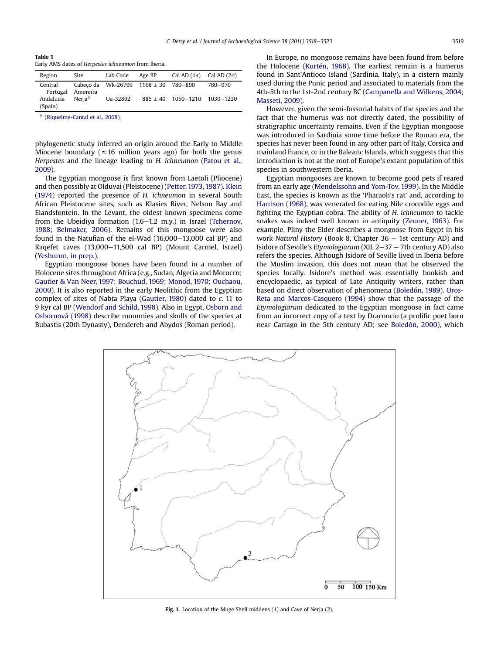<span id="page-1-0"></span>Table 1 Early AMS dates of Herpestes ichneumon from Iberia.

| Region               | Site               | Lab Code                                 | Age BP     | Cal AD $(1\sigma)$ Cal AD $(2\sigma)$ |         |
|----------------------|--------------------|------------------------------------------|------------|---------------------------------------|---------|
| Central<br>Portugal  | Amoreira           | Cabeco da Wk-26799 $1168 \pm 30$ 780-890 |            |                                       | 780-970 |
| Andalucia<br>(Spain) | Neria <sup>a</sup> | Ua-32892                                 | $885 + 40$ | 1050-1210 1030-1220                   |         |

([Riquelme-Cantal et al., 2008\)](#page-5-0).

phylogenetic study inferred an origin around the Early to Middle Miocene boundary ( $\approx 16$  million years ago) for both the genus Herpestes and the lineage leading to H. ichneumon [\(Patou et al.,](#page-5-0) [2009\)](#page-5-0).

The Egyptian mongoose is first known from Laetoli (Pliocene) and then possibly at Olduvai (Pleistocene) ([Petter, 1973, 1987](#page-5-0)). [Klein](#page-5-0) [\(1974\)](#page-5-0) reported the presence of H. ichneumon in several South African Pleistocene sites, such as Klasies River, Nelson Bay and Elandsfontein. In the Levant, the oldest known specimens come from the Ubeidiya formation  $(1.6-1.2 \, \text{m} \cdot \text{y})$  in Israel [\(Tchernov,](#page-5-0) [1988; Belmaker, 2006\)](#page-5-0). Remains of this mongoose were also found in the Natufian of the el-Wad  $(16,000-13,000$  cal BP) and Raqefet caves (13,000-11,500 cal BP) (Mount Carmel, Israel) ([Yeshurun, in prep.\)](#page-5-0).

Egyptian mongoose bones have been found in a number of Holocene sites throughout Africa (e.g., Sudan, Algeria and Morocco; [Gautier & Van Neer, 1997; Bouchud, 1969; Monod, 1970; Ouchaou,](#page-5-0) [2000](#page-5-0)). It is also reported in the early Neolithic from the Egyptian complex of sites of Nabta Playa [\(Gautier, 1980\)](#page-5-0) dated to c. 11 to 9 kyr cal BP ([Wendorf and Schild, 1998\)](#page-5-0). Also in Egypt, [Osborn and](#page-5-0) [Osbornová \(1998\)](#page-5-0) describe mummies and skulls of the species at Bubastis (20th Dynasty), Dendereh and Abydos (Roman period).

In Europe, no mongoose remains have been found from before the Holocene ([Kurtén, 1968](#page-5-0)). The earliest remain is a humerus found in Sant'Antioco Island (Sardinia, Italy), in a cistern mainly used during the Punic period and associated to materials from the 4th-5th to the 1st-2nd century BC [\(Campanella and Wilkens, 2004;](#page-5-0) [Masseti, 2009](#page-5-0)).

However, given the semi-fossorial habits of the species and the fact that the humerus was not directly dated, the possibility of stratigraphic uncertainty remains. Even if the Egyptian mongoose was introduced in Sardinia some time before the Roman era, the species has never been found in any other part of Italy, Corsica and mainland France, or in the Balearic Islands, which suggests that this introduction is not at the root of Europe's extant population of this species in southwestern Iberia.

Egyptian mongooses are known to become good pets if reared from an early age ([Mendelssohn and Yom-Tov, 1999\)](#page-5-0). In the Middle East, the species is known as the 'Pharaoh's rat' and, according to [Harrison \(1968\),](#page-5-0) was venerated for eating Nile crocodile eggs and fighting the Egyptian cobra. The ability of H. ichneumon to tackle snakes was indeed well known in antiquity ([Zeuner, 1963\)](#page-5-0). For example, Pliny the Elder describes a mongoose from Egypt in his work Natural History (Book 8, Chapter  $36 - 1$ st century AD) and Isidore of Seville's *Etymologiarum* (XII,  $2-37 - 7$ th century AD) also refers the species. Although Isidore of Seville lived in Iberia before the Muslim invasion, this does not mean that he observed the species locally. Isidore's method was essentially bookish and encyclopaedic, as typical of Late Antiquity writers, rather than based on direct observation of phenomena ([Boledón, 1989](#page-5-0)). [Oros-](#page-5-0)[Reta and Marcos-Casquero \(1994\)](#page-5-0) show that the passage of the Etymologiarum dedicated to the Egyptian mongoose in fact came from an incorrect copy of a text by Draconcio (a prolific poet born near Cartago in the 5th century AD; see [Boledón, 2000\)](#page-5-0), which



Fig. 1. Location of the Muge Shell middens (1) and Cave of Nerja (2).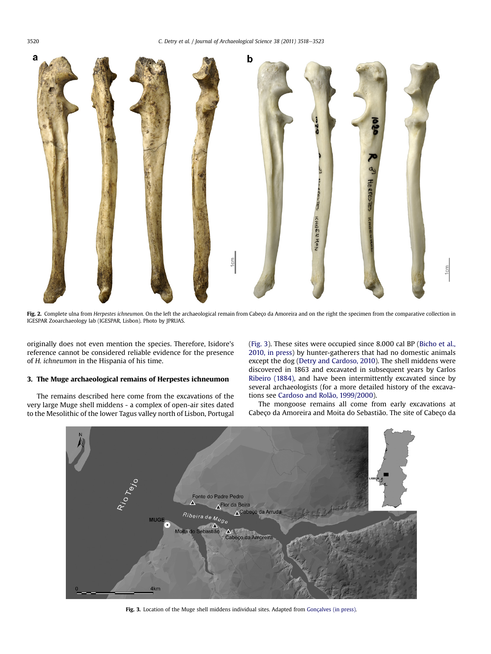

Fig. 2. Complete ulna from Herpestes ichneumon. On the left the archaeological remain from Cabeço da Amoreira and on the right the specimen from the comparative collection in IGESPAR Zooarchaeology lab (IGESPAR, Lisbon). Photo by JPRUAS.

originally does not even mention the species. Therefore, Isidore's reference cannot be considered reliable evidence for the presence of H. ichneumon in the Hispania of his time.

## 3. The Muge archaeological remains of Herpestes ichneumon

The remains described here come from the excavations of the very large Muge shell middens - a complex of open-air sites dated to the Mesolithic of the lower Tagus valley north of Lisbon, Portugal (Fig. 3). These sites were occupied since 8.000 cal BP ([Bicho et al.,](#page-5-0) [2010, in press](#page-5-0)) by hunter-gatherers that had no domestic animals except the dog ([Detry and Cardoso, 2010](#page-5-0)). The shell middens were discovered in 1863 and excavated in subsequent years by Carlos [Ribeiro \(1884\),](#page-5-0) and have been intermittently excavated since by several archaeologists (for a more detailed history of the excavations see [Cardoso and Rolão, 1999/2000\)](#page-5-0).

The mongoose remains all come from early excavations at Cabeço da Amoreira and Moita do Sebastião. The site of Cabeço da



Fig. 3. Location of the Muge shell middens individual sites. Adapted from [Gonçalves \(in press\).](#page-5-0)

<span id="page-2-0"></span>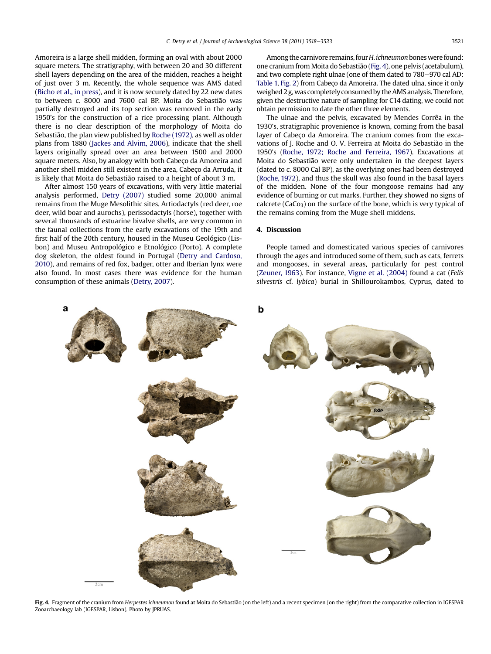Amoreira is a large shell midden, forming an oval with about 2000 square meters. The stratigraphy, with between 20 and 30 different shell layers depending on the area of the midden, reaches a height of just over 3 m. Recently, the whole sequence was AMS dated ([Bicho et al., in press](#page-5-0)), and it is now securely dated by 22 new dates to between c. 8000 and 7600 cal BP. Moita do Sebastião was partially destroyed and its top section was removed in the early 1950's for the construction of a rice processing plant. Although there is no clear description of the morphology of Moita do Sebastião, the plan view published by [Roche \(1972\),](#page-5-0) as well as older plans from 1880 [\(Jackes and Alvim, 2006](#page-5-0)), indicate that the shell layers originally spread over an area between 1500 and 2000 square meters. Also, by analogy with both Cabeço da Amoreira and another shell midden still existent in the area, Cabeço da Arruda, it is likely that Moita do Sebastião raised to a height of about 3 m.

After almost 150 years of excavations, with very little material analysis performed, [Detry \(2007\)](#page-5-0) studied some 20,000 animal remains from the Muge Mesolithic sites. Artiodactyls (red deer, roe deer, wild boar and aurochs), perissodactyls (horse), together with several thousands of estuarine bivalve shells, are very common in the faunal collections from the early excavations of the 19th and first half of the 20th century, housed in the Museu Geológico (Lisbon) and Museu Antropológico e Etnológico (Porto). A complete dog skeleton, the oldest found in Portugal [\(Detry and Cardoso,](#page-5-0) [2010\)](#page-5-0), and remains of red fox, badger, otter and Iberian lynx were also found. In most cases there was evidence for the human consumption of these animals [\(Detry, 2007](#page-5-0)).

Among the carnivore remains, four H. ichneumon bones were found: one cranium from Moita do Sebastião (Fig. 4), one pelvis (acetabulum), and two complete right ulnae (one of them dated to 780–970 cal AD: [Table 1,](#page-1-0) [Fig. 2](#page-2-0)) from Cabeço da Amoreira. The dated ulna, since it only weighed 2 g, was completely consumed by the AMS analysis. Therefore, given the destructive nature of sampling for C14 dating, we could not obtain permission to date the other three elements.

The ulnae and the pelvis, excavated by Mendes Corrêa in the 1930's, stratigraphic provenience is known, coming from the basal layer of Cabeço da Amoreira. The cranium comes from the excavations of J. Roche and O. V. Ferreira at Moita do Sebastião in the 1950's [\(Roche, 1972; Roche and Ferreira, 1967\)](#page-5-0). Excavations at Moita do Sebastião were only undertaken in the deepest layers (dated to c. 8000 Cal BP), as the overlying ones had been destroyed ([Roche, 1972\)](#page-5-0), and thus the skull was also found in the basal layers of the midden. None of the four mongoose remains had any evidence of burning or cut marks. Further, they showed no signs of calcrete ( $CaCo<sub>3</sub>$ ) on the surface of the bone, which is very typical of the remains coming from the Muge shell middens.

### 4. Discussion

People tamed and domesticated various species of carnivores through the ages and introduced some of them, such as cats, ferrets and mongooses, in several areas, particularly for pest control ([Zeuner, 1963](#page-5-0)). For instance, [Vigne et al. \(2004\)](#page-5-0) found a cat (Felis silvestris cf. lybica) burial in Shillourokambos, Cyprus, dated to



Fig. 4. Fragment of the cranium from Herpestes ichneumon found at Moita do Sebastião (on the left) and a recent specimen (on the right) from the comparative collection in IGESPAR Zooarchaeology lab (IGESPAR, Lisbon). Photo by JPRUAS.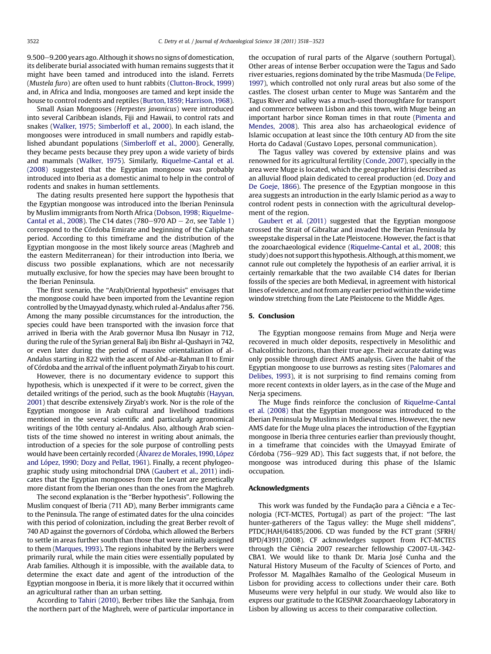$9.500-9.200$  years ago. Although it shows no signs of domestication, its deliberate burial associated with human remains suggests that it might have been tamed and introduced into the island. Ferrets (Mustela furo) are often used to hunt rabbits [\(Clutton-Brock, 1999\)](#page-5-0) and, in Africa and India, mongooses are tamed and kept inside the house to control rodents and reptiles [\(Burton,1859; Harrison, 1968\)](#page-5-0).

Small Asian Mongooses (Herpestes javanicus) were introduced into several Caribbean islands, Fiji and Hawaii, to control rats and snakes [\(Walker, 1975; Simberloff et al., 2000\)](#page-5-0). In each island, the mongooses were introduced in small numbers and rapidly established abundant populations [\(Simberloff et al., 2000\)](#page-5-0). Generally, they became pests because they prey upon a wide variety of birds and mammals [\(Walker, 1975](#page-5-0)). Similarly, [Riquelme-Cantal et al.](#page-5-0) [\(2008\)](#page-5-0) suggested that the Egyptian mongoose was probably introduced into Iberia as a domestic animal to help in the control of rodents and snakes in human settlements.

The dating results presented here support the hypothesis that the Egyptian mongoose was introduced into the Iberian Peninsula by Muslim immigrants from North Africa [\(Dobson, 1998; Riquelme-](#page-5-0)[Cantal et al., 2008\)](#page-5-0). The C14 dates (780–970 AD  $-$  2 $\sigma$ , see [Table 1\)](#page-1-0) correspond to the Córdoba Emirate and beginning of the Caliphate period. According to this timeframe and the distribution of the Egyptian mongoose in the most likely source areas (Maghreb and the eastern Mediterranean) for their introduction into Iberia, we discuss two possible explanations, which are not necessarily mutually exclusive, for how the species may have been brought to the Iberian Peninsula.

The first scenario, the "Arab/Oriental hypothesis" envisages that the mongoose could have been imported from the Levantine region controlled by the Umayyad dynasty, which ruled al-Andalus after 756. Among the many possible circumstances for the introduction, the species could have been transported with the invasion force that arrived in Iberia with the Arab governor Musa Ibn Nusayr in 712, during the rule of the Syrian general Balj ibn Bishr al-Qushayri in 742, or even later during the period of massive orientalization of al-Andalus starting in 822 with the ascent of Abd-ar-Rahman II to Emir of Córdoba and the arrival of the influent polymath Ziryab to his court.

However, there is no documentary evidence to support this hypothesis, which is unexpected if it were to be correct, given the detailed writings of the period, such as the book Muqtabis [\(Hayyan,](#page-5-0) [2001](#page-5-0)) that describe extensively Ziryab's work. Nor is the role of the Egyptian mongoose in Arab cultural and livelihood traditions mentioned in the several scientific and particularly agronomical writings of the 10th century al-Andalus. Also, although Arab scientists of the time showed no interest in writing about animals, the introduction of a species for the sole purpose of controlling pests would have been certainly recorded [\(Álvarez de Morales,1990, López](#page-5-0) [and López, 1990; Dozy and Pellat, 1961](#page-5-0)). Finally, a recent phylogeographic study using mitochondrial DNA [\(Gaubert et al., 2011](#page-5-0)) indicates that the Egyptian mongooses from the Levant are genetically more distant from the Iberian ones than the ones from the Maghreb.

The second explanation is the "Berber hypothesis". Following the Muslim conquest of Iberia (711 AD), many Berber immigrants came to the Peninsula. The range of estimated dates for the ulna coincides with this period of colonization, including the great Berber revolt of 740 AD against the governors of Córdoba, which allowed the Berbers to settle in areas further south than those that were initially assigned to them [\(Marques, 1993](#page-5-0)). The regions inhabited by the Berbers were primarily rural, while the main cities were essentially populated by Arab families. Although it is impossible, with the available data, to determine the exact date and agent of the introduction of the Egyptian mongoose in Iberia, it is more likely that it occurred within an agricultural rather than an urban setting.

According to [Tahiri \(2010\),](#page-5-0) Berber tribes like the Sanhaja, from the northern part of the Maghreb, were of particular importance in the occupation of rural parts of the Algarve (southern Portugal). Other areas of intense Berber occupation were the Tagus and Sado river estuaries, regions dominated by the tribe Masmuda ([De Felipe,](#page-5-0) [1997](#page-5-0)), which controlled not only rural areas but also some of the castles. The closest urban center to Muge was Santarém and the Tagus River and valley was a much-used thoroughfare for transport and commerce between Lisbon and this town, with Muge being an important harbor since Roman times in that route [\(Pimenta and](#page-5-0) [Mendes, 2008\)](#page-5-0). This area also has archaeological evidence of Islamic occupation at least since the 10th century AD from the site Horta do Cadaval (Gustavo Lopes, personal communication).

The Tagus valley was covered by extensive plains and was renowned for its agricultural fertility ([Conde, 2007](#page-5-0)), specially in the area were Muge is located, which the geographer Idrisi described as an alluvial flood plain dedicated to cereal production (ed. [Dozy and](#page-5-0) [De Goeje, 1866](#page-5-0)). The presence of the Egyptian mongoose in this area suggests an introduction in the early Islamic period as a way to control rodent pests in connection with the agricultural development of the region.

[Gaubert et al. \(2011\)](#page-5-0) suggested that the Egyptian mongoose crossed the Strait of Gibraltar and invaded the Iberian Peninsula by sweepstake dispersal in the Late Pleistocene. However, the fact is that the zooarchaeological evidence ([Riquelme-Cantal et al., 2008](#page-5-0); this study) does not support this hypothesis. Although, at this moment, we cannot rule out completely the hypothesis of an earlier arrival, it is certainly remarkable that the two available C14 dates for Iberian fossils of the species are both Medieval, in agreement with historical lines of evidence, and not from any earlier period within the wide time window stretching from the Late Pleistocene to the Middle Ages.

#### 5. Conclusion

The Egyptian mongoose remains from Muge and Nerja were recovered in much older deposits, respectively in Mesolithic and Chalcolithic horizons, than their true age. Their accurate dating was only possible through direct AMS analysis. Given the habit of the Egyptian mongoose to use burrows as resting sites ([Palomares and](#page-5-0) [Delibes, 1993\)](#page-5-0), it is not surprising to find remains coming from more recent contexts in older layers, as in the case of the Muge and Nerja specimens.

The Muge finds reinforce the conclusion of [Riquelme-Cantal](#page-5-0) [et al. \(2008\)](#page-5-0) that the Egyptian mongoose was introduced to the Iberian Peninsula by Muslims in Medieval times. However, the new AMS date for the Muge ulna places the introduction of the Egyptian mongoose in Iberia three centuries earlier than previously thought, in a timeframe that coincides with the Umayyad Emirate of Córdoba (756-929 AD). This fact suggests that, if not before, the mongoose was introduced during this phase of the Islamic occupation.

#### Acknowledgments

This work was funded by the Fundação para a Ciência e a Tecnologia (FCT-MCTES, Portugal) as part of the project: "The last hunter-gatherers of the Tagus valley: the Muge shell middens", PTDC/HAH/64185/2006. CD was funded by the FCT grant (SFRH/ BPD/43911/2008). CF acknowledges support from FCT-MCTES through the Ciência 2007 researcher fellowship C2007-UL-342- CBA1. We would like to thank Dr. Maria José Cunha and the Natural History Museum of the Faculty of Sciences of Porto, and Professor M. Magalhães Ramalho of the Geological Museum in Lisbon for providing access to collections under their care. Both Museums were very helpful in our study. We would also like to express our gratitude to the IGESPAR Zooarchaeology Laboratory in Lisbon by allowing us access to their comparative collection.